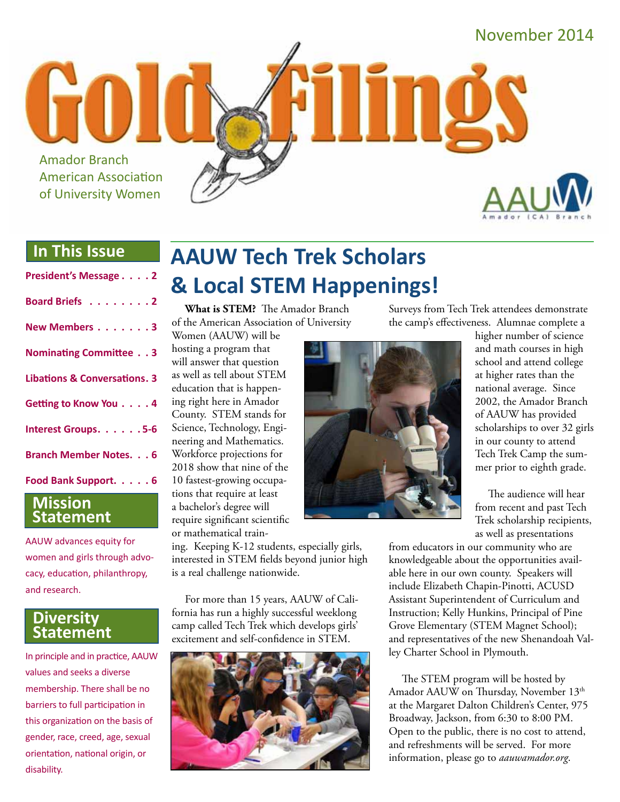

#### **In This Issue**

| President's Message 2                   |
|-----------------------------------------|
| Board Briefs 2                          |
| New Members 3                           |
| <b>Nominating Committee 3</b>           |
| <b>Libations &amp; Conversations. 3</b> |
| Getting to Know You 4                   |
| Interest Groups. 5-6                    |
| <b>Branch Member Notes. 6</b>           |
| Food Bank Support. 6                    |

#### **Mission Statement**

AAUW advances equity for women and girls through advocacy, education, philanthropy, and research.

#### **Diversity Statement**

In principle and in practice, AAUW values and seeks a diverse membership. There shall be no barriers to full participation in this organization on the basis of gender, race, creed, age, sexual orientation, national origin, or disability.

# **AAUW Tech Trek Scholars & Local STEM Happenings!**

**What is STEM?** The Amador Branch of the American Association of University

Women (AAUW) will be hosting a program that will answer that question as well as tell about STEM education that is happening right here in Amador County. STEM stands for Science, Technology, Engineering and Mathematics. Workforce projections for 2018 show that nine of the 10 fastest-growing occupations that require at least a bachelor's degree will require significant scientific or mathematical train-

ing. Keeping K-12 students, especially girls, interested in STEM fields beyond junior high is a real challenge nationwide.

For more than 15 years, AAUW of California has run a highly successful weeklong camp called Tech Trek which develops girls' excitement and self-confidence in STEM.



Surveys from Tech Trek attendees demonstrate the camp's effectiveness. Alumnae complete a



higher number of science and math courses in high school and attend college at higher rates than the national average. Since 2002, the Amador Branch of AAUW has provided scholarships to over 32 girls in our county to attend Tech Trek Camp the summer prior to eighth grade.

The audience will hear from recent and past Tech Trek scholarship recipients, as well as presentations

from educators in our community who are knowledgeable about the opportunities available here in our own county. Speakers will include Elizabeth Chapin-Pinotti, ACUSD Assistant Superintendent of Curriculum and Instruction; Kelly Hunkins, Principal of Pine Grove Elementary (STEM Magnet School); and representatives of the new Shenandoah Valley Charter School in Plymouth.

The STEM program will be hosted by Amador AAUW on Thursday, November 13<sup>th</sup> at the Margaret Dalton Children's Center, 975 Broadway, Jackson, from 6:30 to 8:00 PM. Open to the public, there is no cost to attend, and refreshments will be served. For more information, please go to *aauwamador.org*.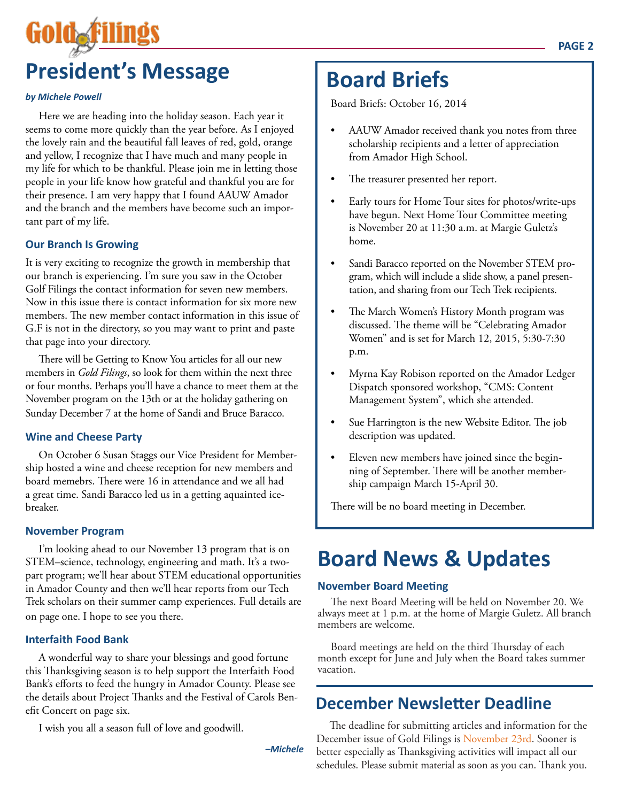# **President's Message**

#### *by Michele Powell*

Here we are heading into the holiday season. Each year it seems to come more quickly than the year before. As I enjoyed the lovely rain and the beautiful fall leaves of red, gold, orange and yellow, I recognize that I have much and many people in my life for which to be thankful. Please join me in letting those people in your life know how grateful and thankful you are for their presence. I am very happy that I found AAUW Amador and the branch and the members have become such an important part of my life.

#### **Our Branch Is Growing**

It is very exciting to recognize the growth in membership that our branch is experiencing. I'm sure you saw in the October Golf Filings the contact information for seven new members. Now in this issue there is contact information for six more new members. The new member contact information in this issue of G.F is not in the directory, so you may want to print and paste that page into your directory.

There will be Getting to Know You articles for all our new members in *Gold Filings*, so look for them within the next three or four months. Perhaps you'll have a chance to meet them at the November program on the 13th or at the holiday gathering on Sunday December 7 at the home of Sandi and Bruce Baracco.

#### **Wine and Cheese Party**

On October 6 Susan Staggs our Vice President for Membership hosted a wine and cheese reception for new members and board memebrs. There were 16 in attendance and we all had a great time. Sandi Baracco led us in a getting aquainted icebreaker.

#### **November Program**

I'm looking ahead to our November 13 program that is on STEM–science, technology, engineering and math. It's a twopart program; we'll hear about STEM educational opportunities in Amador County and then we'll hear reports from our Tech Trek scholars on their summer camp experiences. Full details are on page one. I hope to see you there.

#### **Interfaith Food Bank**

A wonderful way to share your blessings and good fortune this Thanksgiving season is to help support the Interfaith Food Bank's efforts to feed the hungry in Amador County. Please see the details about Project Thanks and the Festival of Carols Benefit Concert on page six.

I wish you all a season full of love and goodwill.

*–Michele*

# **Board Briefs**

Board Briefs: October 16, 2014

- AAUW Amador received thank you notes from three scholarship recipients and a letter of appreciation from Amador High School.
- The treasurer presented her report.
- Early tours for Home Tour sites for photos/write-ups have begun. Next Home Tour Committee meeting is November 20 at 11:30 a.m. at Margie Guletz's home.
- Sandi Baracco reported on the November STEM program, which will include a slide show, a panel presentation, and sharing from our Tech Trek recipients.
- The March Women's History Month program was discussed. The theme will be "Celebrating Amador Women" and is set for March 12, 2015, 5:30-7:30 p.m.
- Myrna Kay Robison reported on the Amador Ledger Dispatch sponsored workshop, "CMS: Content Management System", which she attended.
- Sue Harrington is the new Website Editor. The job description was updated.
- Eleven new members have joined since the beginning of September. There will be another membership campaign March 15-April 30.

There will be no board meeting in December.

# **Board News & Updates**

#### **November Board Meeting**

The next Board Meeting will be held on November 20. We always meet at 1 p.m. at the home of Margie Guletz. All branch members are welcome.

Board meetings are held on the third Thursday of each month except for June and July when the Board takes summer vacation.

#### **December Newsletter Deadline**

The deadline for submitting articles and information for the December issue of Gold Filings is November 23rd. Sooner is better especially as Thanksgiving activities will impact all our schedules. Please submit material as soon as you can. Thank you.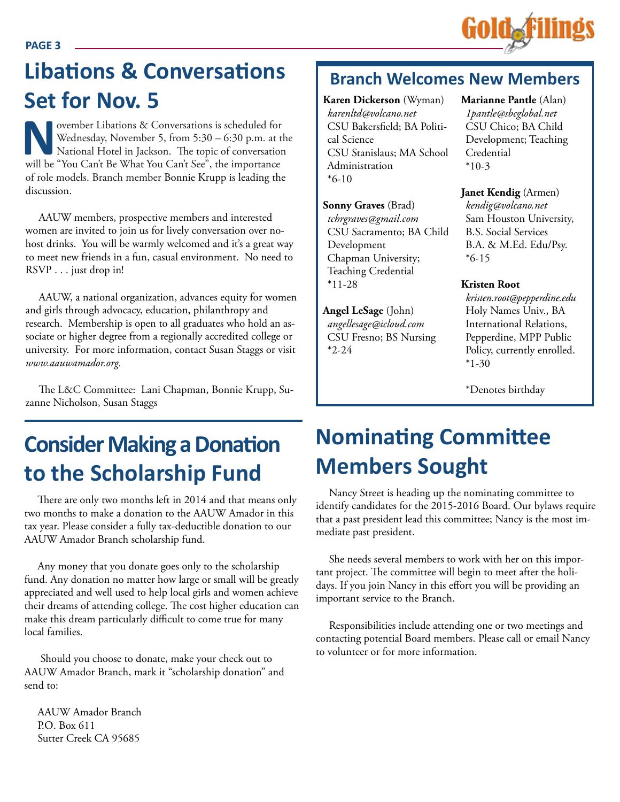

# **Libations & Conversations Example I** Branch Welcomes New Members **Set for Nov. 5**

Wednesday, November 5, from 5:30 – 6:30 p.m. at the National Hotel in Jackson. The topic of conversation<br>will be "You Can't Be What You Can't See", the importance Wednesday, November 5, from 5:30 – 6:30 p.m. at the National Hotel in Jackson. The topic of conversation will be "You Can't Be What You Can't See", the importance of role models. Branch member Bonnie Krupp is leading the discussion.

AAUW members, prospective members and interested women are invited to join us for lively conversation over nohost drinks. You will be warmly welcomed and it's a great way to meet new friends in a fun, casual environment. No need to RSVP . . . just drop in!

AAUW, a national organization, advances equity for women and girls through advocacy, education, philanthropy and research. Membership is open to all graduates who hold an associate or higher degree from a regionally accredited college or university. For more information, contact Susan Staggs or visit *www.aauwamador.org.*

The L&C Committee: Lani Chapman, Bonnie Krupp, Suzanne Nicholson, Susan Staggs

# **Consider Making a Donation to the Scholarship Fund**

There are only two months left in 2014 and that means only two months to make a donation to the AAUW Amador in this tax year. Please consider a fully tax-deductible donation to our AAUW Amador Branch scholarship fund.

Any money that you donate goes only to the scholarship fund. Any donation no matter how large or small will be greatly appreciated and well used to help local girls and women achieve their dreams of attending college. The cost higher education can make this dream particularly difficult to come true for many local families.

 Should you choose to donate, make your check out to AAUW Amador Branch, mark it "scholarship donation" and send to:

AAUW Amador Branch P.O. Box 611 Sutter Creek CA 95685

**Karen Dickerson** (Wyman) *karenltd@volcano.net* CSU Bakersfield; BA Political Science CSU Stanislaus; MA School Administration  $*6-10$ 

**Sonny Graves** (Brad) *tchrgraves@gmail.com* CSU Sacramento; BA Child Development Chapman University; Teaching Credential \*11-28

**Angel LeSage** (John) *angellesage@icloud.com* CSU Fresno; BS Nursing  $*2-24$ 

**Marianne Pantle** (Alan) *1pantle@sbcglobal.net* CSU Chico; BA Child Development; Teaching Credential  $*10-3$ 

**Janet Kendig** (Armen) *kendig@volcano.net* Sam Houston University, B.S. Social Services B.A. & M.Ed. Edu/Psy. \*6-15

#### **Kristen Root**

*kristen.root@pepperdine.edu* Holy Names Univ., BA International Relations, Pepperdine, MPP Public Policy, currently enrolled.  $*1-30$ 

\*Denotes birthday

# **Nominating Committee Members Sought**

Nancy Street is heading up the nominating committee to identify candidates for the 2015-2016 Board. Our bylaws require that a past president lead this committee; Nancy is the most immediate past president.

She needs several members to work with her on this important project. The committee will begin to meet after the holidays. If you join Nancy in this effort you will be providing an important service to the Branch.

Responsibilities include attending one or two meetings and contacting potential Board members. Please call or email Nancy to volunteer or for more information.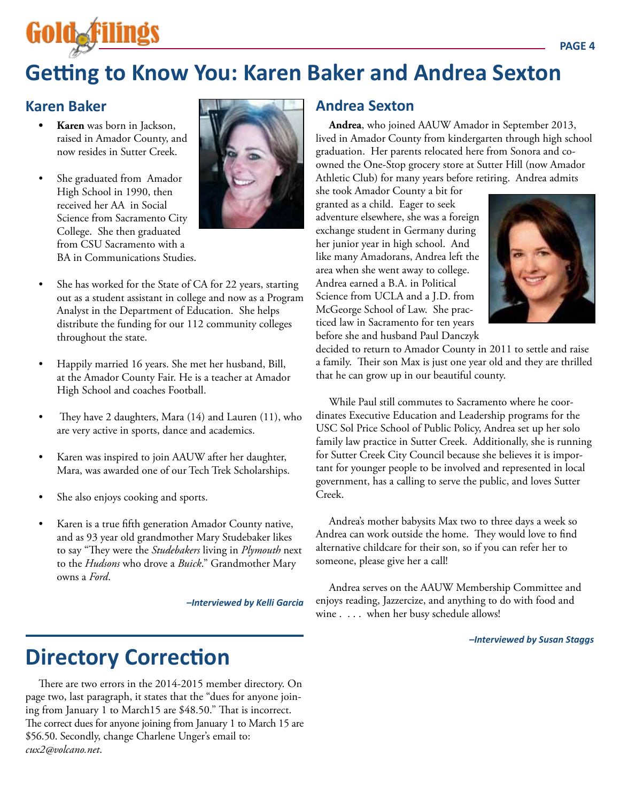# **Getting to Know You: Karen Baker and Andrea Sexton**

#### **Karen Baker**

- **• Karen** was born in Jackson, raised in Amador County, and now resides in Sutter Creek.
- She graduated from Amador High School in 1990, then received her AA in Social Science from Sacramento City College. She then graduated from CSU Sacramento with a BA in Communications Studies.



- She has worked for the State of CA for 22 years, starting out as a student assistant in college and now as a Program Analyst in the Department of Education. She helps distribute the funding for our 112 community colleges throughout the state.
- Happily married 16 years. She met her husband, Bill, at the Amador County Fair. He is a teacher at Amador High School and coaches Football.
- They have 2 daughters, Mara  $(14)$  and Lauren  $(11)$ , who are very active in sports, dance and academics.
- Karen was inspired to join AAUW after her daughter, Mara, was awarded one of our Tech Trek Scholarships.
- She also enjoys cooking and sports.
- Karen is a true fifth generation Amador County native, and as 93 year old grandmother Mary Studebaker likes to say "They were the *Studebakers* living in *Plymouth* next to the *Hudsons* who drove a *Buick*." Grandmother Mary owns a *Ford*.

*–Interviewed by Kelli Garcia*

# **Directory Correction**

There are two errors in the 2014-2015 member directory. On page two, last paragraph, it states that the "dues for anyone joining from January 1 to March15 are \$48.50." That is incorrect. The correct dues for anyone joining from January 1 to March 15 are \$56.50. Secondly, change Charlene Unger's email to: *cux2@volcano.net*.

#### **Andrea Sexton**

**Andrea**, who joined AAUW Amador in September 2013, lived in Amador County from kindergarten through high school graduation. Her parents relocated here from Sonora and coowned the One-Stop grocery store at Sutter Hill (now Amador Athletic Club) for many years before retiring. Andrea admits

she took Amador County a bit for granted as a child. Eager to seek adventure elsewhere, she was a foreign exchange student in Germany during her junior year in high school. And like many Amadorans, Andrea left the area when she went away to college. Andrea earned a B.A. in Political Science from UCLA and a J.D. from McGeorge School of Law. She practiced law in Sacramento for ten years before she and husband Paul Danczyk



decided to return to Amador County in 2011 to settle and raise a family. Their son Max is just one year old and they are thrilled that he can grow up in our beautiful county.

While Paul still commutes to Sacramento where he coordinates Executive Education and Leadership programs for the USC Sol Price School of Public Policy, Andrea set up her solo family law practice in Sutter Creek. Additionally, she is running for Sutter Creek City Council because she believes it is important for younger people to be involved and represented in local government, has a calling to serve the public, and loves Sutter Creek.

Andrea's mother babysits Max two to three days a week so Andrea can work outside the home. They would love to find alternative childcare for their son, so if you can refer her to someone, please give her a call!

Andrea serves on the AAUW Membership Committee and enjoys reading, Jazzercize, and anything to do with food and wine . . . . when her busy schedule allows!

*–Interviewed by Susan Staggs*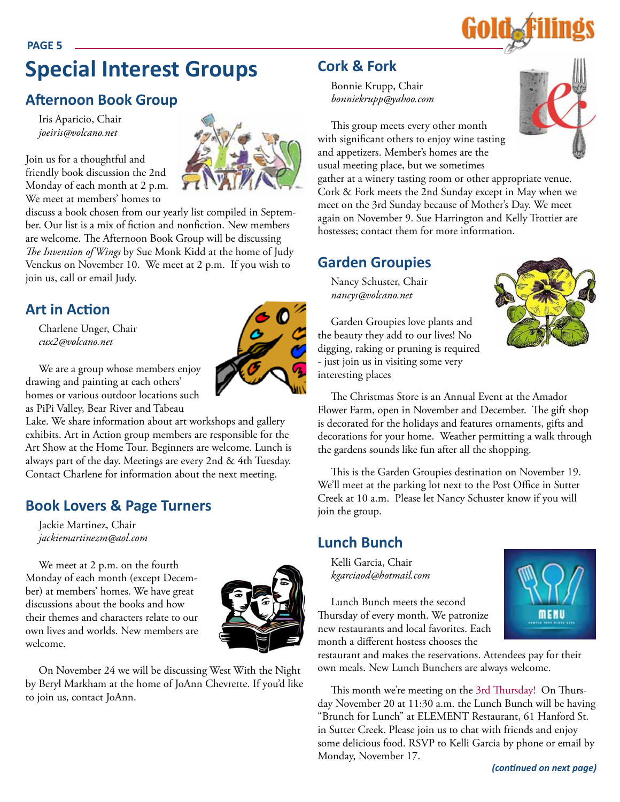## **PAGE 5 Special Interest Groups**

## **Afternoon Book Group**

Iris Aparicio, Chair *joeiris@volcano.net*

Join us for a thoughtful and friendly book discussion the 2nd Monday of each month at 2 p.m. We meet at members' homes to

discuss a book chosen from our yearly list compiled in September. Our list is a mix of fiction and nonfiction. New members are welcome. The Afternoon Book Group will be discussing *The Invention of Wings* by Sue Monk Kidd at the home of Judy Venckus on November 10. We meet at 2 p.m. If you wish to join us, call or email Judy.

#### **Art in Action**

Charlene Unger, Chair *cux2@volcano.net*



We are a group whose members enjoy drawing and painting at each others' homes or various outdoor locations such as PiPi Valley, Bear River and Tabeau

Lake. We share information about art workshops and gallery exhibits. Art in Action group members are responsible for the Art Show at the Home Tour. Beginners are welcome. Lunch is always part of the day. Meetings are every 2nd & 4th Tuesday. Contact Charlene for information about the next meeting.

## **Book Lovers & Page Turners**

Jackie Martinez, Chair *jackiemartinezm@aol.com*

We meet at 2 p.m. on the fourth Monday of each month (except December) at members' homes. We have great discussions about the books and how their themes and characters relate to our own lives and worlds. New members are welcome.



On November 24 we will be discussing West With the Night by Beryl Markham at the home of JoAnn Chevrette. If you'd like to join us, contact JoAnn.

#### **Cork & Fork**

Bonnie Krupp, Chair *bonniekrupp@yahoo.com*



This group meets every other month with significant others to enjoy wine tasting and appetizers. Member's homes are the usual meeting place, but we sometimes

gather at a winery tasting room or other appropriate venue. Cork & Fork meets the 2nd Sunday except in May when we meet on the 3rd Sunday because of Mother's Day. We meet again on November 9. Sue Harrington and Kelly Trottier are hostesses; contact them for more information.

#### **Garden Groupies**

Nancy Schuster, Chair *nancys@volcano.net*

Garden Groupies love plants and the beauty they add to our lives! No digging, raking or pruning is required - just join us in visiting some very interesting places



The Christmas Store is an Annual Event at the Amador Flower Farm, open in November and December. The gift shop is decorated for the holidays and features ornaments, gifts and decorations for your home. Weather permitting a walk through the gardens sounds like fun after all the shopping.

This is the Garden Groupies destination on November 19. We'll meet at the parking lot next to the Post Office in Sutter Creek at 10 a.m. Please let Nancy Schuster know if you will join the group.

#### **Lunch Bunch**

Kelli Garcia, Chair *kgarciaod@hotmail.com*

Lunch Bunch meets the second Thursday of every month. We patronize new restaurants and local favorites. Each month a different hostess chooses the



restaurant and makes the reservations. Attendees pay for their own meals. New Lunch Bunchers are always welcome.

This month we're meeting on the 3rd Thursday! On Thursday November 20 at 11:30 a.m. the Lunch Bunch will be having "Brunch for Lunch" at ELEMENT Restaurant, 61 Hanford St. in Sutter Creek. Please join us to chat with friends and enjoy some delicious food. RSVP to Kelli Garcia by phone or email by Monday, November 17.